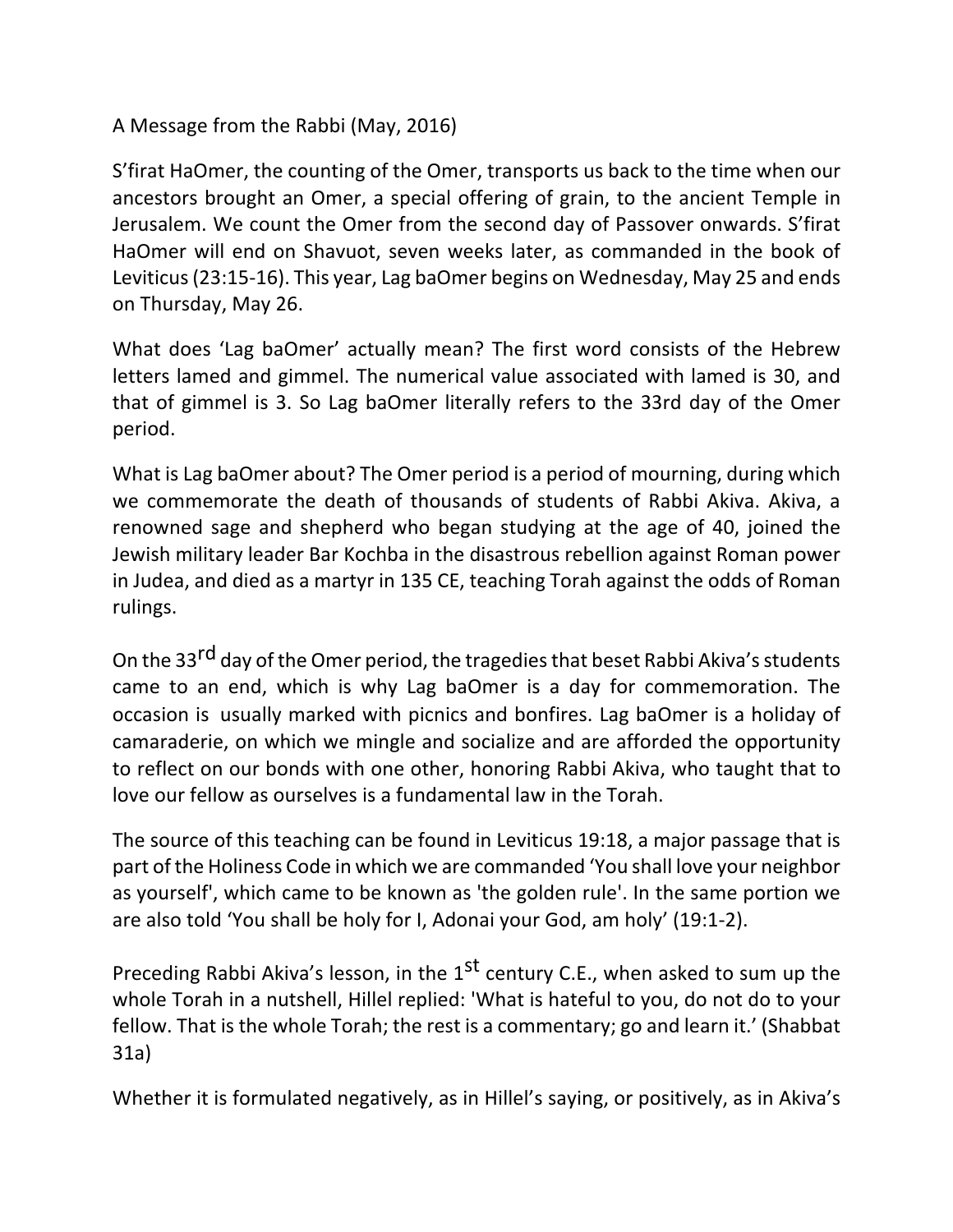## A Message from the Rabbi (May, 2016)

S'firat HaOmer, the counting of the Omer, transports us back to the time when our ancestors brought an Omer, a special offering of grain, to the ancient Temple in Jerusalem. We count the Omer from the second day of Passover onwards. S'firat HaOmer will end on Shavuot, seven weeks later, as commanded in the book of Leviticus (23:15-16). This year, Lag baOmer begins on Wednesday, May 25 and ends on Thursday, May 26.

What does 'Lag baOmer' actually mean? The first word consists of the Hebrew letters lamed and gimmel. The numerical value associated with lamed is 30, and that of gimmel is 3. So Lag baOmer literally refers to the 33rd day of the Omer period.

What is Lag baOmer about? The Omer period is a period of mourning, during which we commemorate the death of thousands of students of Rabbi Akiva. Akiva, a renowned sage and shepherd who began studying at the age of 40, joined the Jewish military leader Bar Kochba in the disastrous rebellion against Roman power in Judea, and died as a martyr in 135 CE, teaching Torah against the odds of Roman rulings.

On the 33<sup>rd</sup> day of the Omer period, the tragedies that beset Rabbi Akiva's students came to an end, which is why Lag baOmer is a day for commemoration. The occasion is usually marked with picnics and bonfires. Lag baOmer is a holiday of camaraderie, on which we mingle and socialize and are afforded the opportunity to reflect on our bonds with one other, honoring Rabbi Akiva, who taught that to love our fellow as ourselves is a fundamental law in the Torah.

The source of this teaching can be found in Leviticus 19:18, a major passage that is part of the Holiness Code in which we are commanded 'You shall love your neighbor as yourself', which came to be known as 'the golden rule'. In the same portion we are also told 'You shall be holy for I, Adonai your God, am holy' (19:1-2).

Preceding Rabbi Akiva's lesson, in the  $1<sup>st</sup>$  century C.E., when asked to sum up the whole Torah in a nutshell, Hillel replied: 'What is hateful to you, do not do to your fellow. That is the whole Torah; the rest is a commentary; go and learn it.' (Shabbat 31a)

Whether it is formulated negatively, as in Hillel's saying, or positively, as in Akiva's